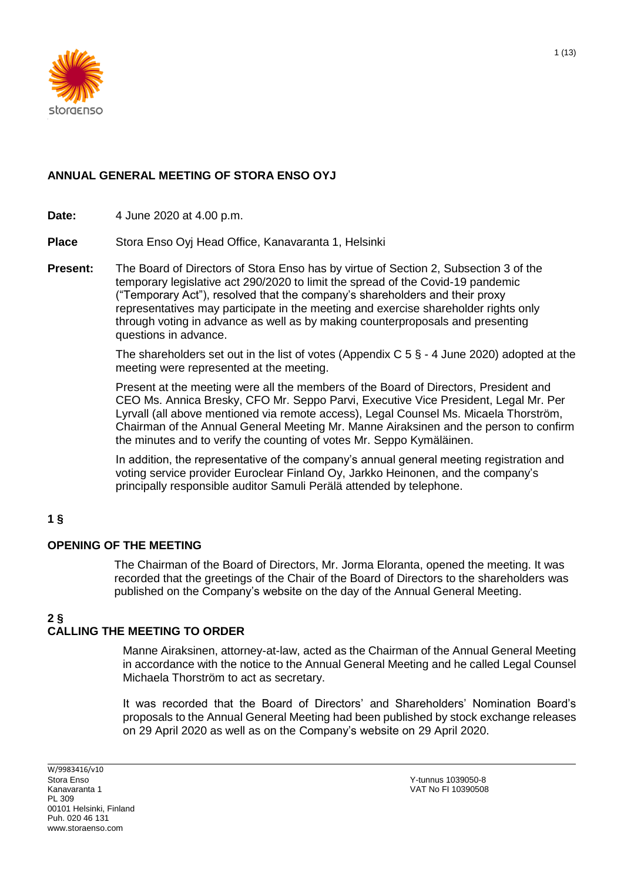

## **ANNUAL GENERAL MEETING OF STORA ENSO OYJ**

**Date:** 4 June 2020 at 4.00 p.m.

**Place** Stora Enso Oyj Head Office, Kanavaranta 1, Helsinki

**Present:** The Board of Directors of Stora Enso has by virtue of Section 2, Subsection 3 of the temporary legislative act 290/2020 to limit the spread of the Covid-19 pandemic ("Temporary Act"), resolved that the company's shareholders and their proxy representatives may participate in the meeting and exercise shareholder rights only through voting in advance as well as by making counterproposals and presenting questions in advance.

> The shareholders set out in the list of votes (Appendix C  $5 \S - 4$  June 2020) adopted at the meeting were represented at the meeting.

> Present at the meeting were all the members of the Board of Directors, President and CEO Ms. Annica Bresky, CFO Mr. Seppo Parvi, Executive Vice President, Legal Mr. Per Lyrvall (all above mentioned via remote access), Legal Counsel Ms. Micaela Thorström, Chairman of the Annual General Meeting Mr. Manne Airaksinen and the person to confirm the minutes and to verify the counting of votes Mr. Seppo Kymäläinen.

In addition, the representative of the company's annual general meeting registration and voting service provider Euroclear Finland Oy, Jarkko Heinonen, and the company's principally responsible auditor Samuli Perälä attended by telephone.

## **1 §**

#### **OPENING OF THE MEETING**

The Chairman of the Board of Directors, Mr. Jorma Eloranta, opened the meeting. It was recorded that the greetings of the Chair of the Board of Directors to the shareholders was published on the Company's website on the day of the Annual General Meeting.

# **2 §**

# **CALLING THE MEETING TO ORDER**

Manne Airaksinen, attorney-at-law, acted as the Chairman of the Annual General Meeting in accordance with the notice to the Annual General Meeting and he called Legal Counsel Michaela Thorström to act as secretary.

It was recorded that the Board of Directors' and Shareholders' Nomination Board's proposals to the Annual General Meeting had been published by stock exchange releases on 29 April 2020 as well as on the Company's website on 29 April 2020.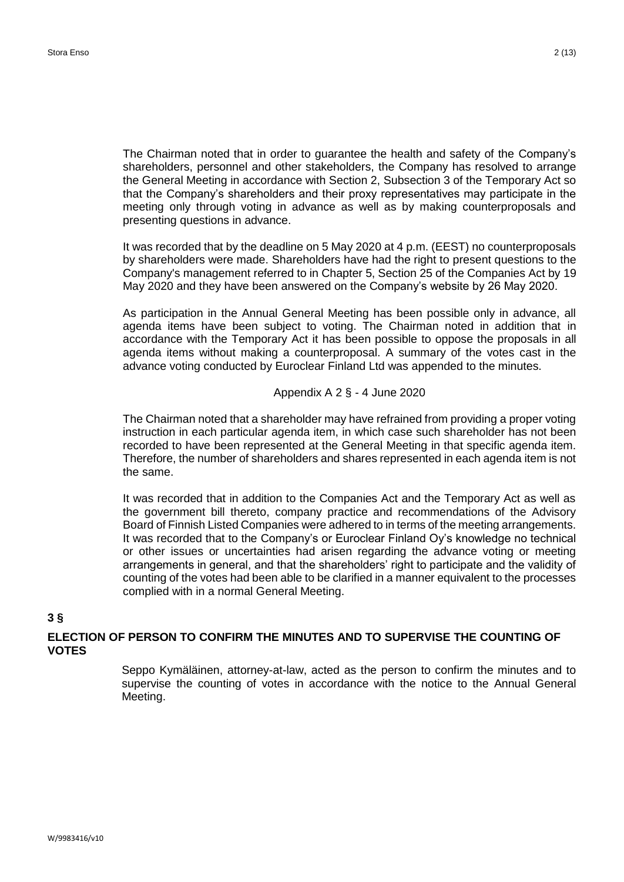The Chairman noted that in order to guarantee the health and safety of the Company's shareholders, personnel and other stakeholders, the Company has resolved to arrange the General Meeting in accordance with Section 2, Subsection 3 of the Temporary Act so that the Company's shareholders and their proxy representatives may participate in the meeting only through voting in advance as well as by making counterproposals and presenting questions in advance.

It was recorded that by the deadline on 5 May 2020 at 4 p.m. (EEST) no counterproposals by shareholders were made. Shareholders have had the right to present questions to the Company's management referred to in Chapter 5, Section 25 of the Companies Act by 19 May 2020 and they have been answered on the Company's website by 26 May 2020.

As participation in the Annual General Meeting has been possible only in advance, all agenda items have been subject to voting. The Chairman noted in addition that in accordance with the Temporary Act it has been possible to oppose the proposals in all agenda items without making a counterproposal. A summary of the votes cast in the advance voting conducted by Euroclear Finland Ltd was appended to the minutes.

#### Appendix A 2 § - 4 June 2020

The Chairman noted that a shareholder may have refrained from providing a proper voting instruction in each particular agenda item, in which case such shareholder has not been recorded to have been represented at the General Meeting in that specific agenda item. Therefore, the number of shareholders and shares represented in each agenda item is not the same.

It was recorded that in addition to the Companies Act and the Temporary Act as well as the government bill thereto, company practice and recommendations of the Advisory Board of Finnish Listed Companies were adhered to in terms of the meeting arrangements. It was recorded that to the Company's or Euroclear Finland Oy's knowledge no technical or other issues or uncertainties had arisen regarding the advance voting or meeting arrangements in general, and that the shareholders' right to participate and the validity of counting of the votes had been able to be clarified in a manner equivalent to the processes complied with in a normal General Meeting.

## **3 §**

## **ELECTION OF PERSON TO CONFIRM THE MINUTES AND TO SUPERVISE THE COUNTING OF VOTES**

Seppo Kymäläinen, attorney-at-law, acted as the person to confirm the minutes and to supervise the counting of votes in accordance with the notice to the Annual General Meeting.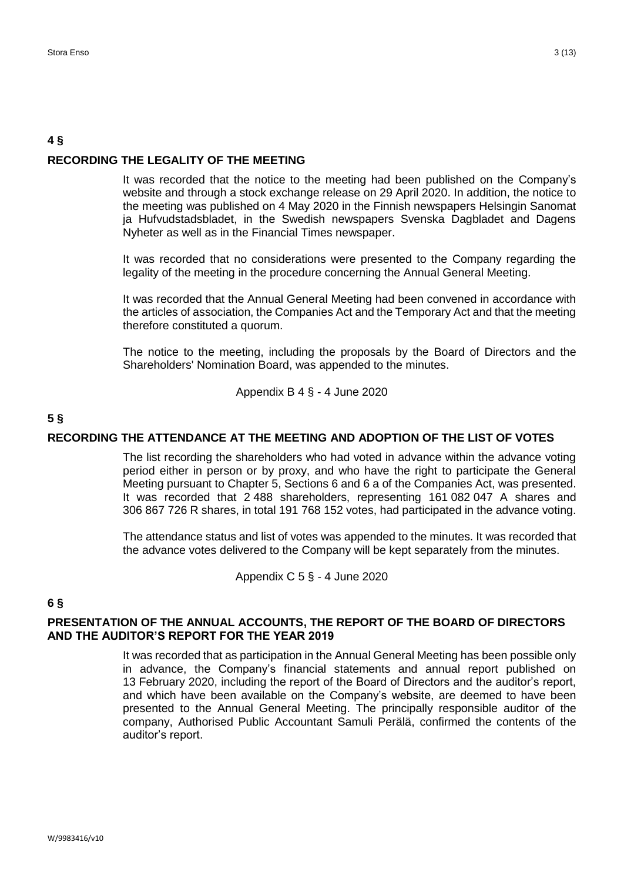## **4 § RECORDING THE LEGALITY OF THE MEETING**

It was recorded that the notice to the meeting had been published on the Company's website and through a stock exchange release on 29 April 2020. In addition, the notice to the meeting was published on 4 May 2020 in the Finnish newspapers Helsingin Sanomat ja Hufvudstadsbladet, in the Swedish newspapers Svenska Dagbladet and Dagens Nyheter as well as in the Financial Times newspaper.

It was recorded that no considerations were presented to the Company regarding the legality of the meeting in the procedure concerning the Annual General Meeting.

It was recorded that the Annual General Meeting had been convened in accordance with the articles of association, the Companies Act and the Temporary Act and that the meeting therefore constituted a quorum.

The notice to the meeting, including the proposals by the Board of Directors and the Shareholders' Nomination Board, was appended to the minutes.

Appendix B 4 § - 4 June 2020

### **5 §**

#### **RECORDING THE ATTENDANCE AT THE MEETING AND ADOPTION OF THE LIST OF VOTES**

The list recording the shareholders who had voted in advance within the advance voting period either in person or by proxy, and who have the right to participate the General Meeting pursuant to Chapter 5, Sections 6 and 6 a of the Companies Act, was presented. It was recorded that 2 488 shareholders, representing 161 082 047 A shares and 306 867 726 R shares, in total 191 768 152 votes, had participated in the advance voting.

The attendance status and list of votes was appended to the minutes. It was recorded that the advance votes delivered to the Company will be kept separately from the minutes.

Appendix C 5 § - 4 June 2020

#### **6 §**

#### **PRESENTATION OF THE ANNUAL ACCOUNTS, THE REPORT OF THE BOARD OF DIRECTORS AND THE AUDITOR'S REPORT FOR THE YEAR 2019**

It was recorded that as participation in the Annual General Meeting has been possible only in advance, the Company's financial statements and annual report published on 13 February 2020, including the report of the Board of Directors and the auditor's report, and which have been available on the Company's website, are deemed to have been presented to the Annual General Meeting. The principally responsible auditor of the company, Authorised Public Accountant Samuli Perälä, confirmed the contents of the auditor's report.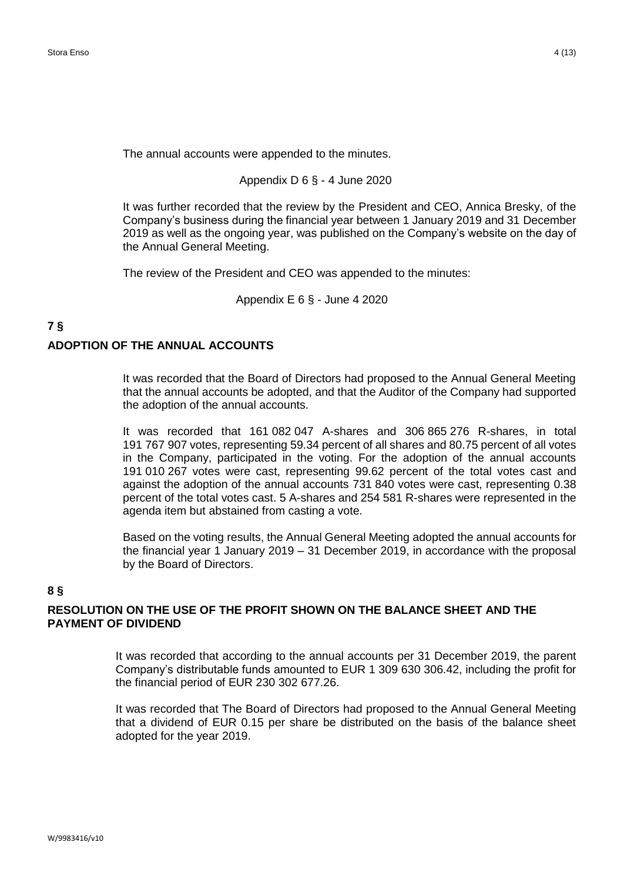The annual accounts were appended to the minutes.

Appendix D 6 § - 4 June 2020

It was further recorded that the review by the President and CEO, Annica Bresky, of the Company's business during the financial year between 1 January 2019 and 31 December 2019 as well as the ongoing year, was published on the Company's website on the day of the Annual General Meeting.

The review of the President and CEO was appended to the minutes:

Appendix E 6 § - June 4 2020

# **7 § ADOPTION OF THE ANNUAL ACCOUNTS**

It was recorded that the Board of Directors had proposed to the Annual General Meeting that the annual accounts be adopted, and that the Auditor of the Company had supported the adoption of the annual accounts.

It was recorded that 161 082 047 A-shares and 306 865 276 R-shares, in total 191 767 907 votes, representing 59.34 percent of all shares and 80.75 percent of all votes in the Company, participated in the voting. For the adoption of the annual accounts 191 010 267 votes were cast, representing 99.62 percent of the total votes cast and against the adoption of the annual accounts 731 840 votes were cast, representing 0.38 percent of the total votes cast. 5 A-shares and 254 581 R-shares were represented in the agenda item but abstained from casting a vote.

Based on the voting results, the Annual General Meeting adopted the annual accounts for the financial year 1 January 2019 – 31 December 2019, in accordance with the proposal by the Board of Directors.

#### **8 §**

#### **RESOLUTION ON THE USE OF THE PROFIT SHOWN ON THE BALANCE SHEET AND THE PAYMENT OF DIVIDEND**

It was recorded that according to the annual accounts per 31 December 2019, the parent Company's distributable funds amounted to EUR 1 309 630 306.42, including the profit for the financial period of EUR 230 302 677.26.

It was recorded that The Board of Directors had proposed to the Annual General Meeting that a dividend of EUR 0.15 per share be distributed on the basis of the balance sheet adopted for the year 2019.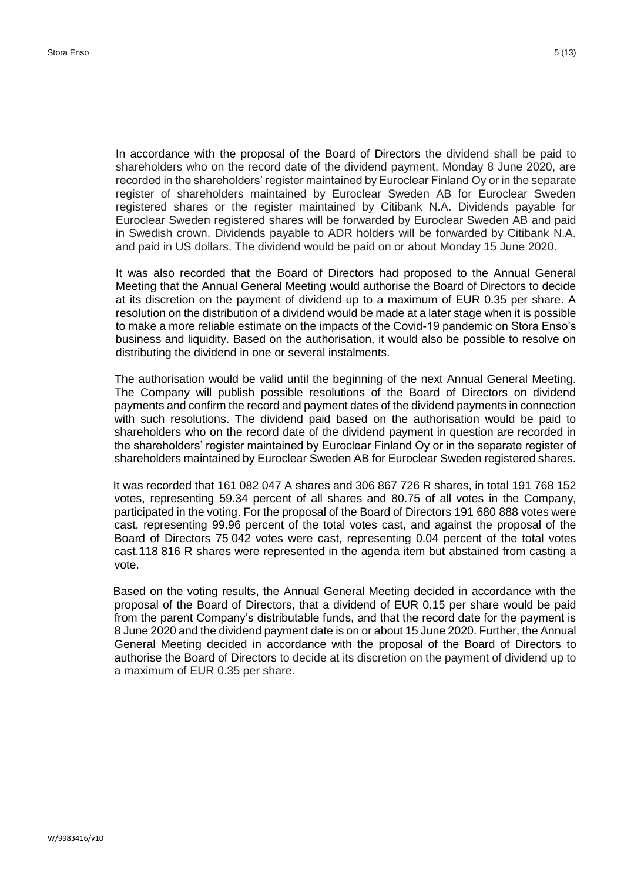In accordance with the proposal of the Board of Directors the dividend shall be paid to shareholders who on the record date of the dividend payment, Monday 8 June 2020, are recorded in the shareholders' register maintained by Euroclear Finland Oy or in the separate register of shareholders maintained by Euroclear Sweden AB for Euroclear Sweden registered shares or the register maintained by Citibank N.A. Dividends payable for Euroclear Sweden registered shares will be forwarded by Euroclear Sweden AB and paid in Swedish crown. Dividends payable to ADR holders will be forwarded by Citibank N.A. and paid in US dollars. The dividend would be paid on or about Monday 15 June 2020.

It was also recorded that the Board of Directors had proposed to the Annual General Meeting that the Annual General Meeting would authorise the Board of Directors to decide at its discretion on the payment of dividend up to a maximum of EUR 0.35 per share. A resolution on the distribution of a dividend would be made at a later stage when it is possible to make a more reliable estimate on the impacts of the Covid-19 pandemic on Stora Enso's business and liquidity. Based on the authorisation, it would also be possible to resolve on distributing the dividend in one or several instalments.

The authorisation would be valid until the beginning of the next Annual General Meeting. The Company will publish possible resolutions of the Board of Directors on dividend payments and confirm the record and payment dates of the dividend payments in connection with such resolutions. The dividend paid based on the authorisation would be paid to shareholders who on the record date of the dividend payment in question are recorded in the shareholders' register maintained by Euroclear Finland Oy or in the separate register of shareholders maintained by Euroclear Sweden AB for Euroclear Sweden registered shares.

It was recorded that 161 082 047 A shares and 306 867 726 R shares, in total 191 768 152 votes, representing 59.34 percent of all shares and 80.75 of all votes in the Company, participated in the voting. For the proposal of the Board of Directors 191 680 888 votes were cast, representing 99.96 percent of the total votes cast, and against the proposal of the Board of Directors 75 042 votes were cast, representing 0.04 percent of the total votes cast.118 816 R shares were represented in the agenda item but abstained from casting a vote.

Based on the voting results, the Annual General Meeting decided in accordance with the proposal of the Board of Directors, that a dividend of EUR 0.15 per share would be paid from the parent Company's distributable funds, and that the record date for the payment is 8 June 2020 and the dividend payment date is on or about 15 June 2020. Further, the Annual General Meeting decided in accordance with the proposal of the Board of Directors to authorise the Board of Directors to decide at its discretion on the payment of dividend up to a maximum of EUR 0.35 per share.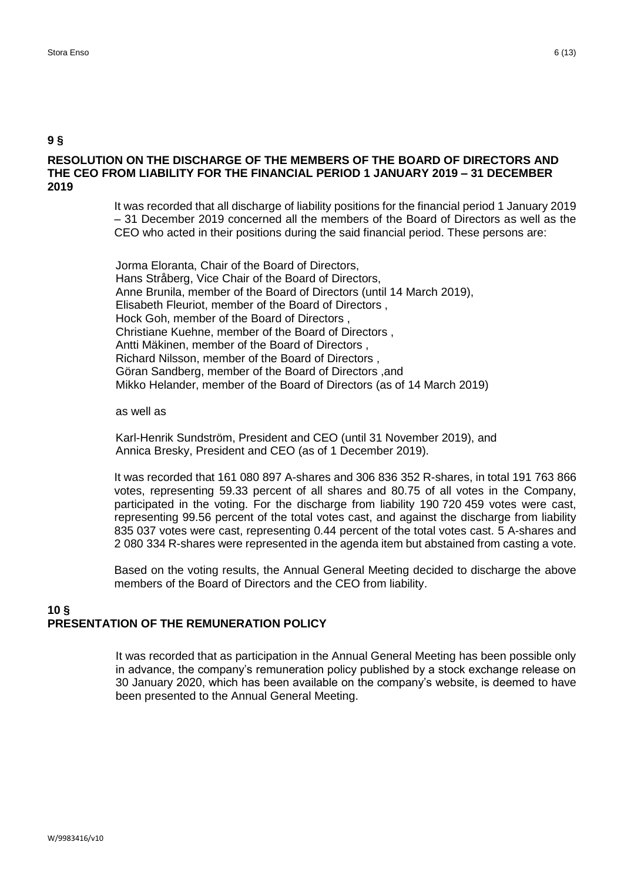#### **RESOLUTION ON THE DISCHARGE OF THE MEMBERS OF THE BOARD OF DIRECTORS AND THE CEO FROM LIABILITY FOR THE FINANCIAL PERIOD 1 JANUARY 2019 – 31 DECEMBER 2019**

It was recorded that all discharge of liability positions for the financial period 1 January 2019 – 31 December 2019 concerned all the members of the Board of Directors as well as the CEO who acted in their positions during the said financial period. These persons are:

Jorma Eloranta, Chair of the Board of Directors, Hans Stråberg, Vice Chair of the Board of Directors, Anne Brunila, member of the Board of Directors (until 14 March 2019), Elisabeth Fleuriot, member of the Board of Directors , Hock Goh, member of the Board of Directors , Christiane Kuehne, member of the Board of Directors , Antti Mäkinen, member of the Board of Directors , Richard Nilsson, member of the Board of Directors , Göran Sandberg, member of the Board of Directors ,and Mikko Helander, member of the Board of Directors (as of 14 March 2019)

#### as well as

Karl-Henrik Sundström, President and CEO (until 31 November 2019), and Annica Bresky, President and CEO (as of 1 December 2019).

It was recorded that 161 080 897 A-shares and 306 836 352 R-shares, in total 191 763 866 votes, representing 59.33 percent of all shares and 80.75 of all votes in the Company, participated in the voting. For the discharge from liability 190 720 459 votes were cast, representing 99.56 percent of the total votes cast, and against the discharge from liability 835 037 votes were cast, representing 0.44 percent of the total votes cast. 5 A-shares and 2 080 334 R-shares were represented in the agenda item but abstained from casting a vote.

Based on the voting results, the Annual General Meeting decided to discharge the above members of the Board of Directors and the CEO from liability.

#### **10 § PRESENTATION OF THE REMUNERATION POLICY**

It was recorded that as participation in the Annual General Meeting has been possible only in advance, the company's remuneration policy published by a stock exchange release on 30 January 2020, which has been available on the company's website, is deemed to have been presented to the Annual General Meeting.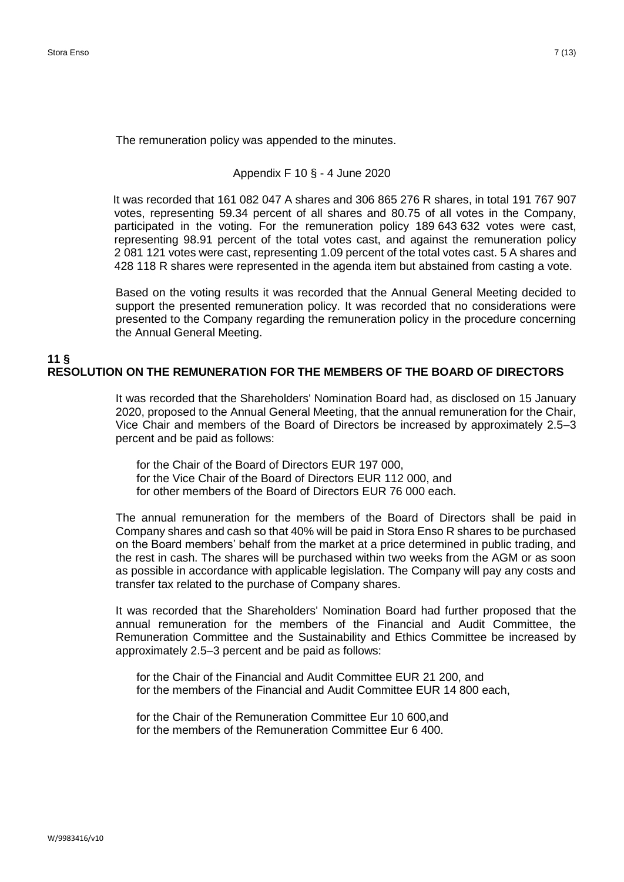The remuneration policy was appended to the minutes.

#### Appendix F 10 § - 4 June 2020

It was recorded that 161 082 047 A shares and 306 865 276 R shares, in total 191 767 907 votes, representing 59.34 percent of all shares and 80.75 of all votes in the Company, participated in the voting. For the remuneration policy 189 643 632 votes were cast, representing 98.91 percent of the total votes cast, and against the remuneration policy 2 081 121 votes were cast, representing 1.09 percent of the total votes cast. 5 A shares and 428 118 R shares were represented in the agenda item but abstained from casting a vote.

Based on the voting results it was recorded that the Annual General Meeting decided to support the presented remuneration policy. It was recorded that no considerations were presented to the Company regarding the remuneration policy in the procedure concerning the Annual General Meeting.

#### **11 § RESOLUTION ON THE REMUNERATION FOR THE MEMBERS OF THE BOARD OF DIRECTORS**

It was recorded that the Shareholders' Nomination Board had, as disclosed on 15 January 2020, proposed to the Annual General Meeting, that the annual remuneration for the Chair, Vice Chair and members of the Board of Directors be increased by approximately 2.5–3 percent and be paid as follows:

for the Chair of the Board of Directors EUR 197 000, for the Vice Chair of the Board of Directors EUR 112 000, and for other members of the Board of Directors EUR 76 000 each.

The annual remuneration for the members of the Board of Directors shall be paid in Company shares and cash so that 40% will be paid in Stora Enso R shares to be purchased on the Board members' behalf from the market at a price determined in public trading, and the rest in cash. The shares will be purchased within two weeks from the AGM or as soon as possible in accordance with applicable legislation. The Company will pay any costs and transfer tax related to the purchase of Company shares.

It was recorded that the Shareholders' Nomination Board had further proposed that the annual remuneration for the members of the Financial and Audit Committee, the Remuneration Committee and the Sustainability and Ethics Committee be increased by approximately 2.5–3 percent and be paid as follows:

for the Chair of the Financial and Audit Committee EUR 21 200, and for the members of the Financial and Audit Committee EUR 14 800 each,

for the Chair of the Remuneration Committee Eur 10 600,and for the members of the Remuneration Committee Eur 6 400.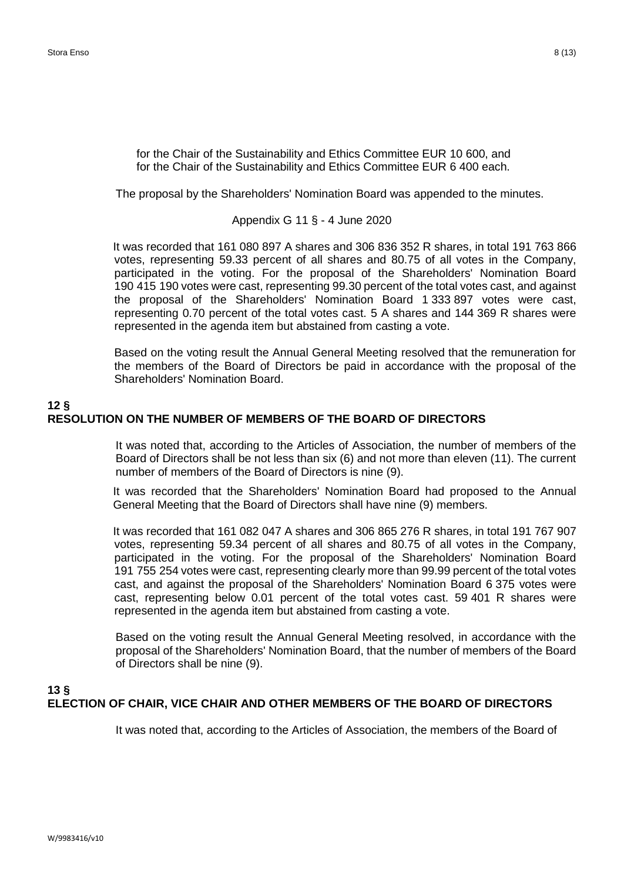for the Chair of the Sustainability and Ethics Committee EUR 10 600, and for the Chair of the Sustainability and Ethics Committee EUR 6 400 each.

The proposal by the Shareholders' Nomination Board was appended to the minutes.

#### Appendix G 11 § - 4 June 2020

It was recorded that 161 080 897 A shares and 306 836 352 R shares, in total 191 763 866 votes, representing 59.33 percent of all shares and 80.75 of all votes in the Company, participated in the voting. For the proposal of the Shareholders' Nomination Board 190 415 190 votes were cast, representing 99.30 percent of the total votes cast, and against the proposal of the Shareholders' Nomination Board 1 333 897 votes were cast, representing 0.70 percent of the total votes cast. 5 A shares and 144 369 R shares were represented in the agenda item but abstained from casting a vote.

Based on the voting result the Annual General Meeting resolved that the remuneration for the members of the Board of Directors be paid in accordance with the proposal of the Shareholders' Nomination Board.

## **12 § RESOLUTION ON THE NUMBER OF MEMBERS OF THE BOARD OF DIRECTORS**

It was noted that, according to the Articles of Association, the number of members of the Board of Directors shall be not less than six (6) and not more than eleven (11). The current number of members of the Board of Directors is nine (9).

It was recorded that the Shareholders' Nomination Board had proposed to the Annual General Meeting that the Board of Directors shall have nine (9) members.

It was recorded that 161 082 047 A shares and 306 865 276 R shares, in total 191 767 907 votes, representing 59.34 percent of all shares and 80.75 of all votes in the Company, participated in the voting. For the proposal of the Shareholders' Nomination Board 191 755 254 votes were cast, representing clearly more than 99.99 percent of the total votes cast, and against the proposal of the Shareholders' Nomination Board 6 375 votes were cast, representing below 0.01 percent of the total votes cast. 59 401 R shares were represented in the agenda item but abstained from casting a vote.

Based on the voting result the Annual General Meeting resolved, in accordance with the proposal of the Shareholders' Nomination Board, that the number of members of the Board of Directors shall be nine (9).

## **13 § ELECTION OF CHAIR, VICE CHAIR AND OTHER MEMBERS OF THE BOARD OF DIRECTORS**

It was noted that, according to the Articles of Association, the members of the Board of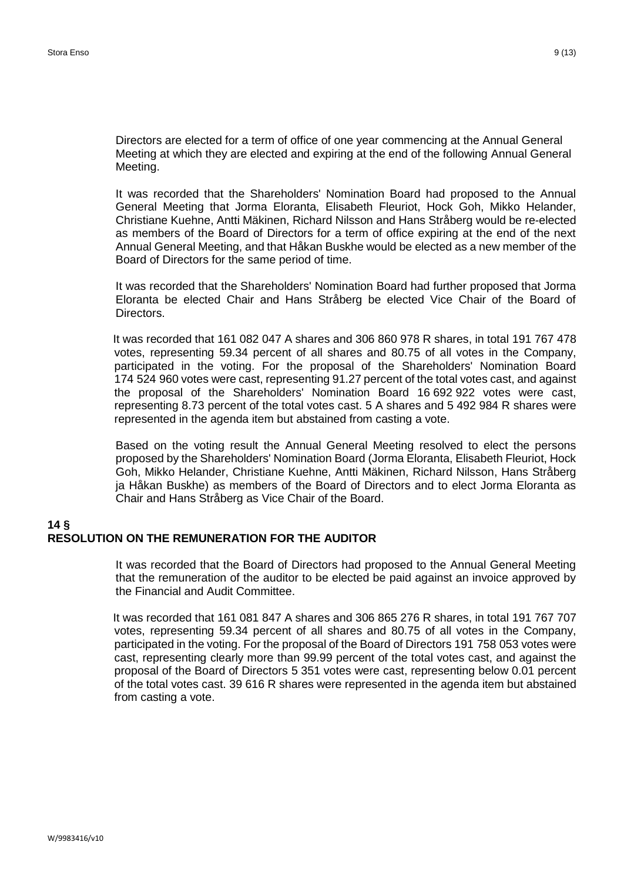Meeting.

Directors are elected for a term of office of one year commencing at the Annual General Meeting at which they are elected and expiring at the end of the following Annual General

It was recorded that the Shareholders' Nomination Board had proposed to the Annual General Meeting that Jorma Eloranta, Elisabeth Fleuriot, Hock Goh, Mikko Helander, Christiane Kuehne, Antti Mäkinen, Richard Nilsson and Hans Stråberg would be re-elected as members of the Board of Directors for a term of office expiring at the end of the next Annual General Meeting, and that Håkan Buskhe would be elected as a new member of the Board of Directors for the same period of time.

It was recorded that the Shareholders' Nomination Board had further proposed that Jorma Eloranta be elected Chair and Hans Stråberg be elected Vice Chair of the Board of Directors.

It was recorded that 161 082 047 A shares and 306 860 978 R shares, in total 191 767 478 votes, representing 59.34 percent of all shares and 80.75 of all votes in the Company, participated in the voting. For the proposal of the Shareholders' Nomination Board 174 524 960 votes were cast, representing 91.27 percent of the total votes cast, and against the proposal of the Shareholders' Nomination Board 16 692 922 votes were cast, representing 8.73 percent of the total votes cast. 5 A shares and 5 492 984 R shares were represented in the agenda item but abstained from casting a vote.

Based on the voting result the Annual General Meeting resolved to elect the persons proposed by the Shareholders' Nomination Board (Jorma Eloranta, Elisabeth Fleuriot, Hock Goh, Mikko Helander, Christiane Kuehne, Antti Mäkinen, Richard Nilsson, Hans Stråberg ja Håkan Buskhe) as members of the Board of Directors and to elect Jorma Eloranta as Chair and Hans Stråberg as Vice Chair of the Board.

#### **14 § RESOLUTION ON THE REMUNERATION FOR THE AUDITOR**

It was recorded that the Board of Directors had proposed to the Annual General Meeting that the remuneration of the auditor to be elected be paid against an invoice approved by the Financial and Audit Committee.

It was recorded that 161 081 847 A shares and 306 865 276 R shares, in total 191 767 707 votes, representing 59.34 percent of all shares and 80.75 of all votes in the Company, participated in the voting. For the proposal of the Board of Directors 191 758 053 votes were cast, representing clearly more than 99.99 percent of the total votes cast, and against the proposal of the Board of Directors 5 351 votes were cast, representing below 0.01 percent of the total votes cast. 39 616 R shares were represented in the agenda item but abstained from casting a vote.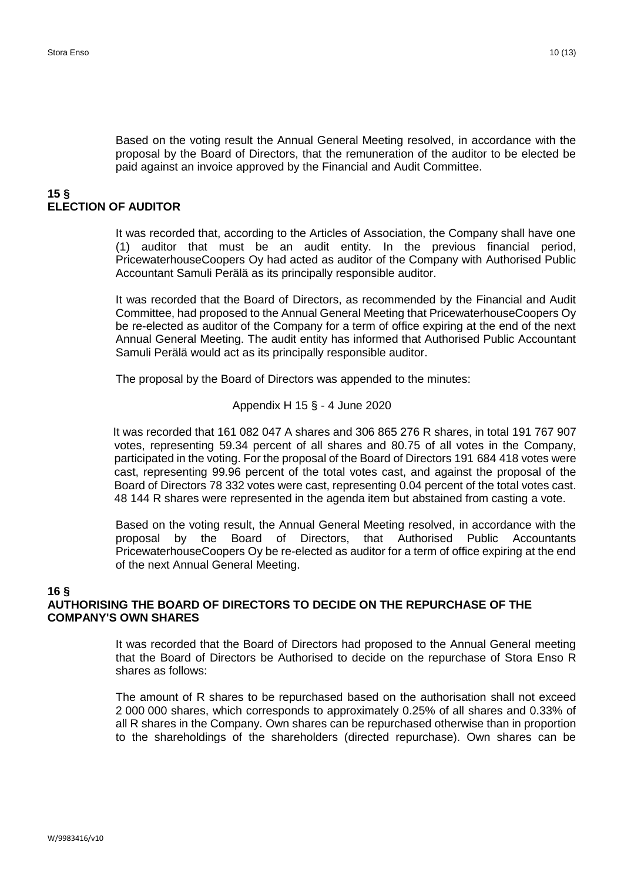Based on the voting result the Annual General Meeting resolved, in accordance with the proposal by the Board of Directors, that the remuneration of the auditor to be elected be paid against an invoice approved by the Financial and Audit Committee.

#### **15 § ELECTION OF AUDITOR**

It was recorded that, according to the Articles of Association, the Company shall have one (1) auditor that must be an audit entity. In the previous financial period, PricewaterhouseCoopers Oy had acted as auditor of the Company with Authorised Public Accountant Samuli Perälä as its principally responsible auditor.

It was recorded that the Board of Directors, as recommended by the Financial and Audit Committee, had proposed to the Annual General Meeting that PricewaterhouseCoopers Oy be re-elected as auditor of the Company for a term of office expiring at the end of the next Annual General Meeting. The audit entity has informed that Authorised Public Accountant Samuli Perälä would act as its principally responsible auditor.

The proposal by the Board of Directors was appended to the minutes:

Appendix H 15
$$
\S
$$
 - 4 June 2020

It was recorded that 161 082 047 A shares and 306 865 276 R shares, in total 191 767 907 votes, representing 59.34 percent of all shares and 80.75 of all votes in the Company, participated in the voting. For the proposal of the Board of Directors 191 684 418 votes were cast, representing 99.96 percent of the total votes cast, and against the proposal of the Board of Directors 78 332 votes were cast, representing 0.04 percent of the total votes cast. 48 144 R shares were represented in the agenda item but abstained from casting a vote.

Based on the voting result, the Annual General Meeting resolved, in accordance with the proposal by the Board of Directors, that Authorised Public Accountants PricewaterhouseCoopers Oy be re-elected as auditor for a term of office expiring at the end of the next Annual General Meeting.

#### **16 § AUTHORISING THE BOARD OF DIRECTORS TO DECIDE ON THE REPURCHASE OF THE COMPANY'S OWN SHARES**

It was recorded that the Board of Directors had proposed to the Annual General meeting that the Board of Directors be Authorised to decide on the repurchase of Stora Enso R shares as follows:

The amount of R shares to be repurchased based on the authorisation shall not exceed 2 000 000 shares, which corresponds to approximately 0.25% of all shares and 0.33% of all R shares in the Company. Own shares can be repurchased otherwise than in proportion to the shareholdings of the shareholders (directed repurchase). Own shares can be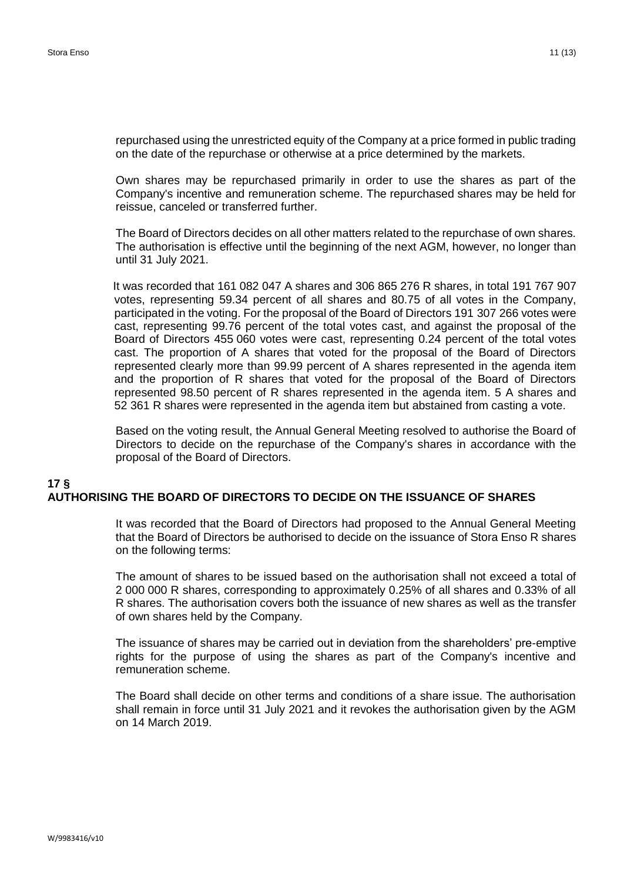repurchased using the unrestricted equity of the Company at a price formed in public trading on the date of the repurchase or otherwise at a price determined by the markets.

Own shares may be repurchased primarily in order to use the shares as part of the Company's incentive and remuneration scheme. The repurchased shares may be held for reissue, canceled or transferred further.

The Board of Directors decides on all other matters related to the repurchase of own shares. The authorisation is effective until the beginning of the next AGM, however, no longer than until 31 July 2021.

It was recorded that 161 082 047 A shares and 306 865 276 R shares, in total 191 767 907 votes, representing 59.34 percent of all shares and 80.75 of all votes in the Company, participated in the voting. For the proposal of the Board of Directors 191 307 266 votes were cast, representing 99.76 percent of the total votes cast, and against the proposal of the Board of Directors 455 060 votes were cast, representing 0.24 percent of the total votes cast. The proportion of A shares that voted for the proposal of the Board of Directors represented clearly more than 99.99 percent of A shares represented in the agenda item and the proportion of R shares that voted for the proposal of the Board of Directors represented 98.50 percent of R shares represented in the agenda item. 5 A shares and 52 361 R shares were represented in the agenda item but abstained from casting a vote.

Based on the voting result, the Annual General Meeting resolved to authorise the Board of Directors to decide on the repurchase of the Company's shares in accordance with the proposal of the Board of Directors.

#### **17 § AUTHORISING THE BOARD OF DIRECTORS TO DECIDE ON THE ISSUANCE OF SHARES**

It was recorded that the Board of Directors had proposed to the Annual General Meeting that the Board of Directors be authorised to decide on the issuance of Stora Enso R shares on the following terms:

The amount of shares to be issued based on the authorisation shall not exceed a total of 2 000 000 R shares, corresponding to approximately 0.25% of all shares and 0.33% of all R shares. The authorisation covers both the issuance of new shares as well as the transfer of own shares held by the Company.

The issuance of shares may be carried out in deviation from the shareholders' pre-emptive rights for the purpose of using the shares as part of the Company's incentive and remuneration scheme.

The Board shall decide on other terms and conditions of a share issue. The authorisation shall remain in force until 31 July 2021 and it revokes the authorisation given by the AGM on 14 March 2019.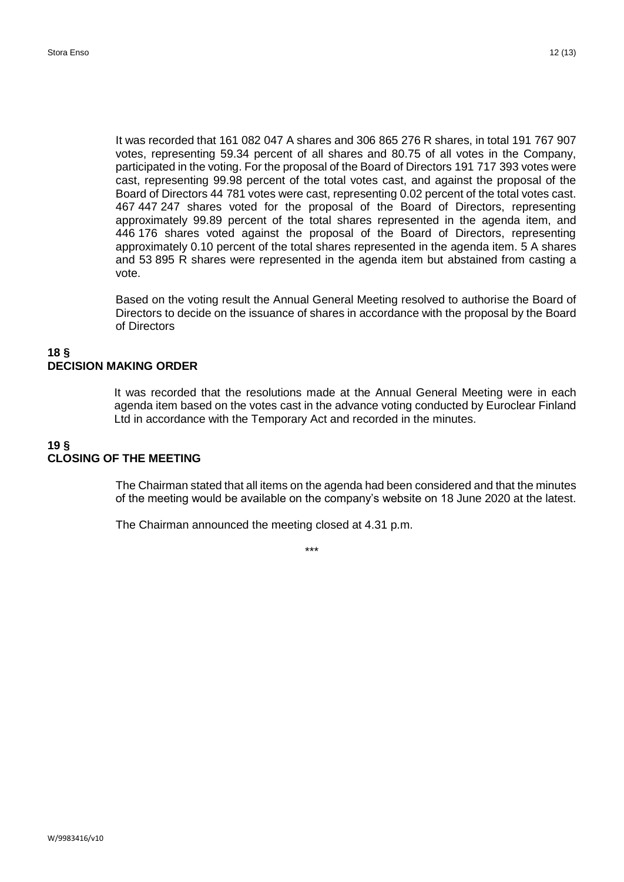It was recorded that 161 082 047 A shares and 306 865 276 R shares, in total 191 767 907 votes, representing 59.34 percent of all shares and 80.75 of all votes in the Company, participated in the voting. For the proposal of the Board of Directors 191 717 393 votes were cast, representing 99.98 percent of the total votes cast, and against the proposal of the Board of Directors 44 781 votes were cast, representing 0.02 percent of the total votes cast. 467 447 247 shares voted for the proposal of the Board of Directors, representing approximately 99.89 percent of the total shares represented in the agenda item, and 446 176 shares voted against the proposal of the Board of Directors, representing approximately 0.10 percent of the total shares represented in the agenda item. 5 A shares and 53 895 R shares were represented in the agenda item but abstained from casting a vote.

Based on the voting result the Annual General Meeting resolved to authorise the Board of Directors to decide on the issuance of shares in accordance with the proposal by the Board of Directors

#### **18 § DECISION MAKING ORDER**

It was recorded that the resolutions made at the Annual General Meeting were in each agenda item based on the votes cast in the advance voting conducted by Euroclear Finland Ltd in accordance with the Temporary Act and recorded in the minutes.

## **19 § CLOSING OF THE MEETING**

The Chairman stated that all items on the agenda had been considered and that the minutes of the meeting would be available on the company's website on 18 June 2020 at the latest.

The Chairman announced the meeting closed at 4.31 p.m.

\*\*\*